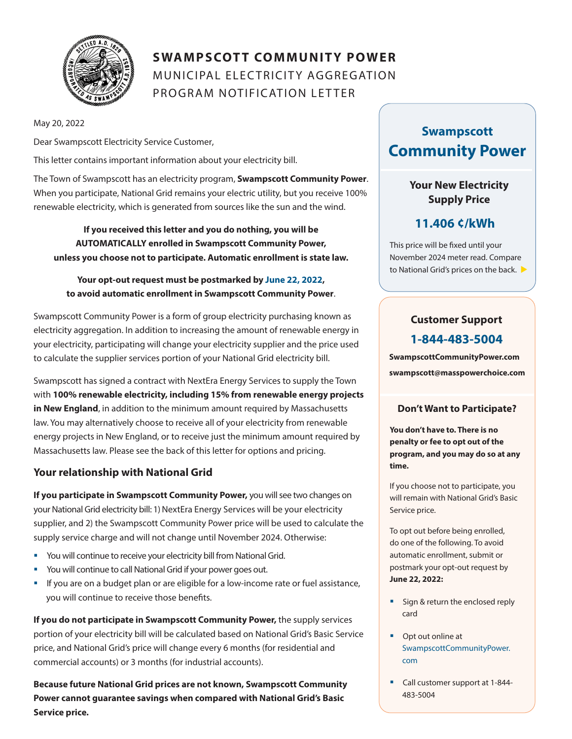

# **SWAMPSCOTT COMMUNITY POWER** MUNICIPAL ELECTRICITY AGGREGATION PROGRAM NOTIFICATION LETTER

May 20, 2022

Dear Swampscott Electricity Service Customer,

This letter contains important information about your electricity bill.

The Town of Swampscott has an electricity program, **Swampscott Community Power**. When you participate, National Grid remains your electric utility, but you receive 100% renewable electricity, which is generated from sources like the sun and the wind.

**If you received this letter and you do nothing, you will be AUTOMATICALLY enrolled in Swampscott Community Power, unless you choose not to participate. Automatic enrollment is state law.**

#### **Your opt-out request must be postmarked by June 22, 2022, to avoid automatic enrollment in Swampscott Community Power**.

Swampscott Community Power is a form of group electricity purchasing known as electricity aggregation. In addition to increasing the amount of renewable energy in your electricity, participating will change your electricity supplier and the price used to calculate the supplier services portion of your National Grid electricity bill.

Swampscott has signed a contract with NextEra Energy Services to supply the Town with **100% renewable electricity, including 15% from renewable energy projects in New England**, in addition to the minimum amount required by Massachusetts law. You may alternatively choose to receive all of your electricity from renewable energy projects in New England, or to receive just the minimum amount required by Massachusetts law. Please see the back of this letter for options and pricing.

#### **Your relationship with National Grid**

**If you participate in Swampscott Community Power,** you will see two changes on your National Grid electricity bill: 1) NextEra Energy Services will be your electricity supplier, and 2) the Swampscott Community Power price will be used to calculate the supply service charge and will not change until November 2024. Otherwise:

- You will continue to receive your electricity bill from National Grid.
- § You will continue to call National Grid if your power goes out.
- If you are on a budget plan or are eligible for a low-income rate or fuel assistance, you will continue to receive those benefits.

**If you do not participate in Swampscott Community Power,** the supply services portion of your electricity bill will be calculated based on National Grid's Basic Service price, and National Grid's price will change every 6 months (for residential and commercial accounts) or 3 months (for industrial accounts).

**Because future National Grid prices are not known, Swampscott Community Power cannot guarantee savings when compared with National Grid's Basic Service price.**

# **Swampscott Community Power**

### **Your New Electricity Supply Price**

## **11.406 ¢/kWh**

This price will be fixed until your November 2024 meter read. Compare to National Grid's prices on the back.

## **Customer Support 1-844-483-5004**

**SwampscottCommunityPower.com swampscott@masspowerchoice.com**

#### **Don't Want to Participate?**

**You don't have to. There is no penalty or fee to opt out of the program, and you may do so at any time.** 

If you choose not to participate, you will remain with National Grid's Basic Service price.

To opt out before being enrolled, do one of the following. To avoid automatic enrollment, submit or postmark your opt-out request by **June 22, 2022:**

- Sign & return the enclosed reply card
- Opt out online at SwampscottCommunityPower. com
- Call customer support at 1-844-483-5004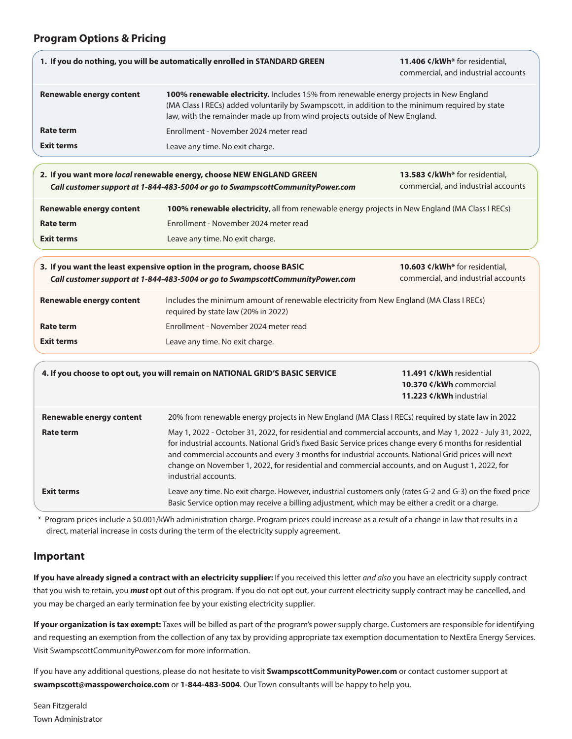#### **Program Options & Pricing**

| 1. If you do nothing, you will be automatically enrolled in STANDARD GREEN                                                                              |                                                                                                                                                                                                                                                                         | 11.406 ¢/kWh* for residential,<br>commercial, and industrial accounts |
|---------------------------------------------------------------------------------------------------------------------------------------------------------|-------------------------------------------------------------------------------------------------------------------------------------------------------------------------------------------------------------------------------------------------------------------------|-----------------------------------------------------------------------|
| <b>Renewable energy content</b>                                                                                                                         | 100% renewable electricity. Includes 15% from renewable energy projects in New England<br>(MA Class I RECs) added voluntarily by Swampscott, in addition to the minimum required by state<br>law, with the remainder made up from wind projects outside of New England. |                                                                       |
| <b>Rate term</b>                                                                                                                                        | Enrollment - November 2024 meter read                                                                                                                                                                                                                                   |                                                                       |
| <b>Exit terms</b>                                                                                                                                       | Leave any time. No exit charge.                                                                                                                                                                                                                                         |                                                                       |
|                                                                                                                                                         | 2. If you want more local renewable energy, choose NEW ENGLAND GREEN<br>Call customer support at 1-844-483-5004 or go to SwampscottCommunityPower.com                                                                                                                   | 13.583 ¢/kWh* for residential,<br>commercial, and industrial accounts |
| Renewable energy content                                                                                                                                | 100% renewable electricity, all from renewable energy projects in New England (MA Class I RECs)                                                                                                                                                                         |                                                                       |
| <b>Rate term</b>                                                                                                                                        | Enrollment - November 2024 meter read                                                                                                                                                                                                                                   |                                                                       |
| <b>Exit terms</b>                                                                                                                                       | Leave any time. No exit charge.                                                                                                                                                                                                                                         |                                                                       |
| 3. If you want the least expensive option in the program, choose BASIC<br>Call customer support at 1-844-483-5004 or go to SwampscottCommunityPower.com |                                                                                                                                                                                                                                                                         | 10.603 ¢/kWh* for residential,<br>commercial, and industrial accounts |
| <b>Renewable energy content</b>                                                                                                                         | Includes the minimum amount of renewable electricity from New England (MA Class I RECs)<br>required by state law (20% in 2022)                                                                                                                                          |                                                                       |
| Rate term                                                                                                                                               | Enrollment - November 2024 meter read                                                                                                                                                                                                                                   |                                                                       |
| <b>Exit terms</b>                                                                                                                                       | Leave any time. No exit charge.                                                                                                                                                                                                                                         |                                                                       |
| 4. If you choose to opt out, you will remain on NATIONAL GRID'S BASIC SERVICE                                                                           |                                                                                                                                                                                                                                                                         | 11.491 ¢/kWh residential<br>10.370 ¢/kWh commercial                   |

| <b>Renewable energy content</b> | 20% from renewable energy projects in New England (MA Class I RECs) required by state law in 2022                                                                                                                                                                                                                                                                                                                                                       |  |
|---------------------------------|---------------------------------------------------------------------------------------------------------------------------------------------------------------------------------------------------------------------------------------------------------------------------------------------------------------------------------------------------------------------------------------------------------------------------------------------------------|--|
| Rate term                       | May 1, 2022 - October 31, 2022, for residential and commercial accounts, and May 1, 2022 - July 31, 2022,<br>for industrial accounts. National Grid's fixed Basic Service prices change every 6 months for residential<br>and commercial accounts and every 3 months for industrial accounts. National Grid prices will next<br>change on November 1, 2022, for residential and commercial accounts, and on August 1, 2022, for<br>industrial accounts. |  |
| Exit terms                      | Leave any time. No exit charge. However, industrial customers only (rates G-2 and G-3) on the fixed price<br>Basic Service option may receive a billing adjustment, which may be either a credit or a charge.                                                                                                                                                                                                                                           |  |

**11.223 ¢/kWh** industrial

\* Program prices include a \$0.001/kWh administration charge. Program prices could increase as a result of a change in law that results in a direct, material increase in costs during the term of the electricity supply agreement.

#### **Important**

**If you have already signed a contract with an electricity supplier:** If you received this letter *and also* you have an electricity supply contract that you wish to retain, you *must* opt out of this program. If you do not opt out, your current electricity supply contract may be cancelled, and you may be charged an early termination fee by your existing electricity supplier.

**If your organization is tax exempt:** Taxes will be billed as part of the program's power supply charge. Customers are responsible for identifying and requesting an exemption from the collection of any tax by providing appropriate tax exemption documentation to NextEra Energy Services. Visit SwampscottCommunityPower.com for more information.

If you have any additional questions, please do not hesitate to visit **SwampscottCommunityPower.com** or contact customer support at **swampscott@masspowerchoice.com** or **1-844-483-5004**. Our Town consultants will be happy to help you.

Sean Fitzgerald Town Administrator